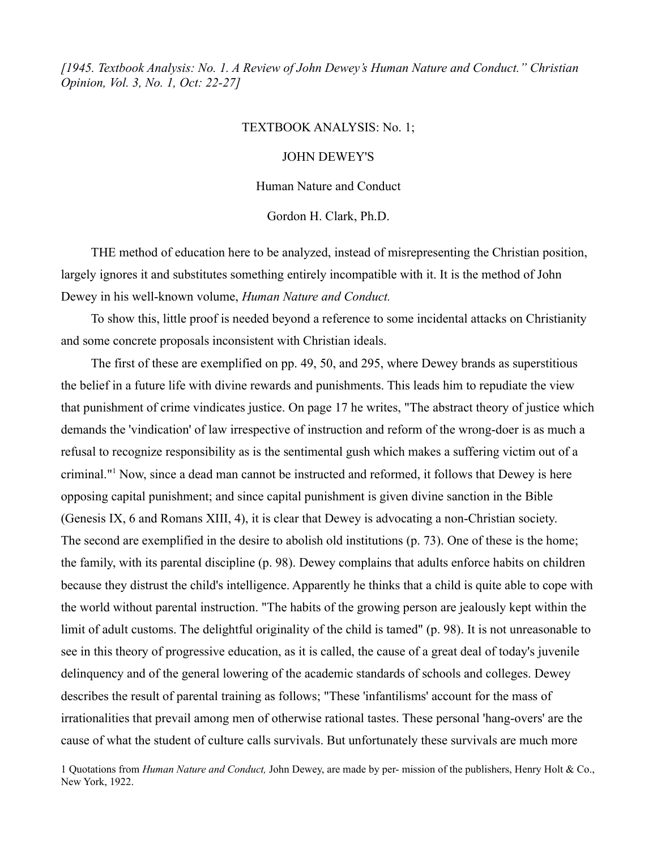*[1945. Textbook Analysis: No. 1. A Review of John Dewey's Human Nature and Conduct." Christian Opinion, Vol. 3, No. 1, Oct: 22-27]*

## TEXTBOOK ANALYSIS: No. 1;

## JOHN DEWEY'S

Human Nature and Conduct

Gordon H. Clark, Ph.D.

THE method of education here to be analyzed, instead of misrepresenting the Christian position, largely ignores it and substitutes something entirely incompatible with it. It is the method of John Dewey in his well-known volume, *Human Nature and Conduct.*

To show this, little proof is needed beyond a reference to some incidental attacks on Christianity and some concrete proposals inconsistent with Christian ideals.

The first of these are exemplified on pp. 49, 50, and 295, where Dewey brands as superstitious the belief in a future life with divine rewards and punishments. This leads him to repudiate the view that punishment of crime vindicates justice. On page 17 he writes, "The abstract theory of justice which demands the 'vindication' of law irrespective of instruction and reform of the wrong-doer is as much a refusal to recognize responsibility as is the sentimental gush which makes a suffering victim out of a criminal." [1](#page-0-0) Now, since a dead man cannot be instructed and reformed, it follows that Dewey is here opposing capital punishment; and since capital punishment is given divine sanction in the Bible (Genesis IX, 6 and Romans XIII, 4), it is clear that Dewey is advocating a non-Christian society. The second are exemplified in the desire to abolish old institutions (p. 73). One of these is the home; the family, with its parental discipline (p. 98). Dewey complains that adults enforce habits on children because they distrust the child's intelligence. Apparently he thinks that a child is quite able to cope with the world without parental instruction. "The habits of the growing person are jealously kept within the limit of adult customs. The delightful originality of the child is tamed" (p. 98). It is not unreasonable to see in this theory of progressive education, as it is called, the cause of a great deal of today's juvenile delinquency and of the general lowering of the academic standards of schools and colleges. Dewey describes the result of parental training as follows; "These 'infantilisms' account for the mass of irrationalities that prevail among men of otherwise rational tastes. These personal 'hang-overs' are the cause of what the student of culture calls survivals. But unfortunately these survivals are much more

<span id="page-0-0"></span>1 Quotations from *Human Nature and Conduct,* John Dewey, are made by per- mission of the publishers, Henry Holt & Co., New York, 1922.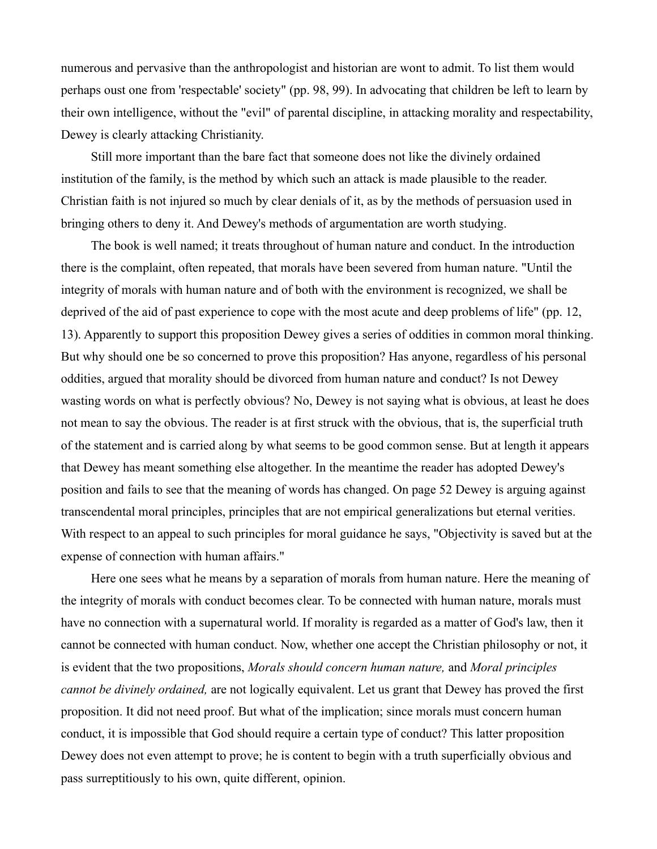numerous and pervasive than the anthropologist and historian are wont to admit. To list them would perhaps oust one from 'respectable' society" (pp. 98, 99). In advocating that children be left to learn by their own intelligence, without the "evil" of parental discipline, in attacking morality and respectability, Dewey is clearly attacking Christianity.

Still more important than the bare fact that someone does not like the divinely ordained institution of the family, is the method by which such an attack is made plausible to the reader. Christian faith is not injured so much by clear denials of it, as by the methods of persuasion used in bringing others to deny it. And Dewey's methods of argumentation are worth studying.

The book is well named; it treats throughout of human nature and conduct. In the introduction there is the complaint, often repeated, that morals have been severed from human nature. "Until the integrity of morals with human nature and of both with the environment is recognized, we shall be deprived of the aid of past experience to cope with the most acute and deep problems of life" (pp. 12, 13). Apparently to support this proposition Dewey gives a series of oddities in common moral thinking. But why should one be so concerned to prove this proposition? Has anyone, regardless of his personal oddities, argued that morality should be divorced from human nature and conduct? Is not Dewey wasting words on what is perfectly obvious? No, Dewey is not saying what is obvious, at least he does not mean to say the obvious. The reader is at first struck with the obvious, that is, the superficial truth of the statement and is carried along by what seems to be good common sense. But at length it appears that Dewey has meant something else altogether. In the meantime the reader has adopted Dewey's position and fails to see that the meaning of words has changed. On page 52 Dewey is arguing against transcendental moral principles, principles that are not empirical generalizations but eternal verities. With respect to an appeal to such principles for moral guidance he says, "Objectivity is saved but at the expense of connection with human affairs."

Here one sees what he means by a separation of morals from human nature. Here the meaning of the integrity of morals with conduct becomes clear. To be connected with human nature, morals must have no connection with a supernatural world. If morality is regarded as a matter of God's law, then it cannot be connected with human conduct. Now, whether one accept the Christian philosophy or not, it is evident that the two propositions, *Morals should concern human nature,* and *Moral principles cannot be divinely ordained,* are not logically equivalent. Let us grant that Dewey has proved the first proposition. It did not need proof. But what of the implication; since morals must concern human conduct, it is impossible that God should require a certain type of conduct? This latter proposition Dewey does not even attempt to prove; he is content to begin with a truth superficially obvious and pass surreptitiously to his own, quite different, opinion.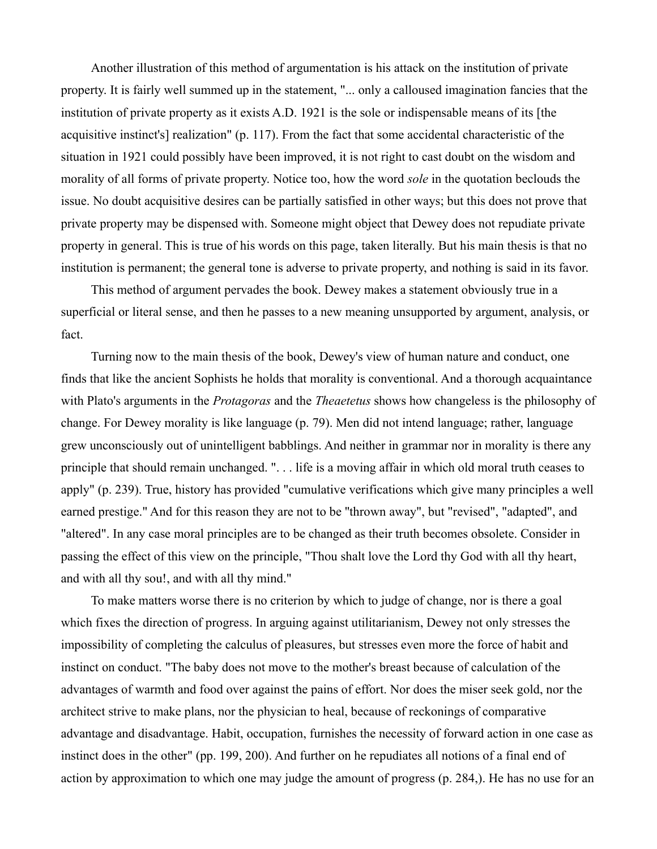Another illustration of this method of argumentation is his attack on the institution of private property. It is fairly well summed up in the statement, "... only a calloused imagination fancies that the institution of private property as it exists A.D. 1921 is the sole or indispensable means of its [the acquisitive instinct's] realization" (p. 117). From the fact that some accidental characteristic of the situation in 1921 could possibly have been improved, it is not right to cast doubt on the wisdom and morality of all forms of private property. Notice too, how the word *sole* in the quotation beclouds the issue. No doubt acquisitive desires can be partially satisfied in other ways; but this does not prove that private property may be dispensed with. Someone might object that Dewey does not repudiate private property in general. This is true of his words on this page, taken literally. But his main thesis is that no institution is permanent; the general tone is adverse to private property, and nothing is said in its favor.

This method of argument pervades the book. Dewey makes a statement obviously true in a superficial or literal sense, and then he passes to a new meaning unsupported by argument, analysis, or fact.

Turning now to the main thesis of the book, Dewey's view of human nature and conduct, one finds that like the ancient Sophists he holds that morality is conventional. And a thorough acquaintance with Plato's arguments in the *Protagoras* and the *Theaetetus* shows how changeless is the philosophy of change. For Dewey morality is like language (p. 79). Men did not intend language; rather, language grew unconsciously out of unintelligent babblings. And neither in grammar nor in morality is there any principle that should remain unchanged. ". . . life is a moving affair in which old moral truth ceases to apply" (p. 239). True, history has provided "cumulative verifications which give many principles a well earned prestige." And for this reason they are not to be ''thrown away", but "revised", "adapted", and "altered". In any case moral principles are to be changed as their truth becomes obsolete. Consider in passing the effect of this view on the principle, "Thou shalt love the Lord thy God with all thy heart, and with all thy sou!, and with all thy mind."

To make matters worse there is no criterion by which to judge of change, nor is there a goal which fixes the direction of progress. In arguing against utilitarianism, Dewey not only stresses the impossibility of completing the calculus of pleasures, but stresses even more the force of habit and instinct on conduct. "The baby does not move to the mother's breast because of calculation of the advantages of warmth and food over against the pains of effort. Nor does the miser seek gold, nor the architect strive to make plans, nor the physician to heal, because of reckonings of comparative advantage and disadvantage. Habit, occupation, furnishes the necessity of forward action in one case as instinct does in the other" (pp. 199, 200). And further on he repudiates all notions of a final end of action by approximation to which one may judge the amount of progress (p. 284,). He has no use for an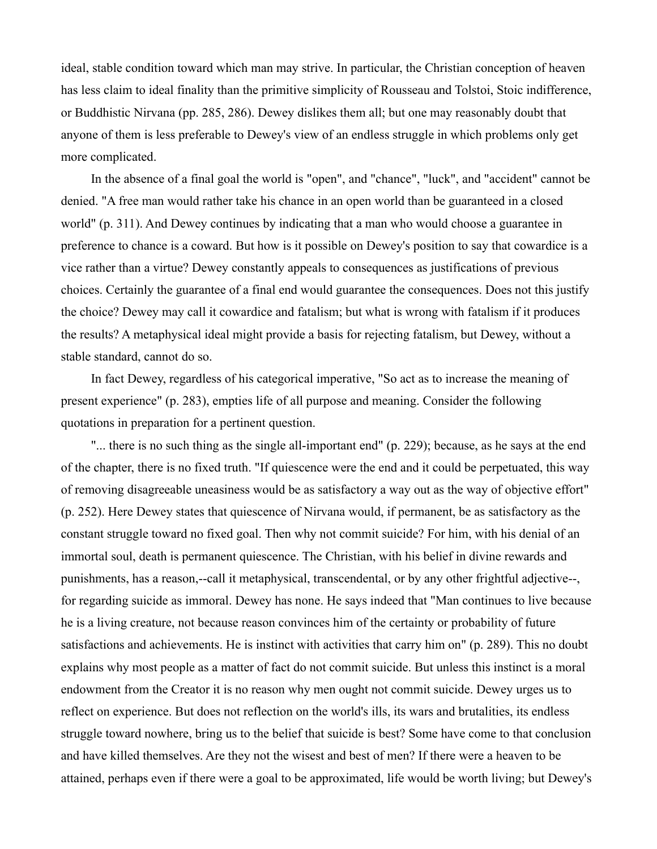ideal, stable condition toward which man may strive. In particular, the Christian conception of heaven has less claim to ideal finality than the primitive simplicity of Rousseau and Tolstoi, Stoic indifference, or Buddhistic Nirvana (pp. 285, 286). Dewey dislikes them all; but one may reasonably doubt that anyone of them is less preferable to Dewey's view of an endless struggle in which problems only get more complicated.

In the absence of a final goal the world is "open", and "chance", "luck", and "accident" cannot be denied. "A free man would rather take his chance in an open world than be guaranteed in a closed world" (p. 311). And Dewey continues by indicating that a man who would choose a guarantee in preference to chance is a coward. But how is it possible on Dewey's position to say that cowardice is a vice rather than a virtue? Dewey constantly appeals to consequences as justifications of previous choices. Certainly the guarantee of a final end would guarantee the consequences. Does not this justify the choice? Dewey may call it cowardice and fatalism; but what is wrong with fatalism if it produces the results? A metaphysical ideal might provide a basis for rejecting fatalism, but Dewey, without a stable standard, cannot do so.

In fact Dewey, regardless of his categorical imperative, "So act as to increase the meaning of present experience" (p. 283), empties life of all purpose and meaning. Consider the following quotations in preparation for a pertinent question.

"... there is no such thing as the single all-important end" (p. 229); because, as he says at the end of the chapter, there is no fixed truth. "If quiescence were the end and it could be perpetuated, this way of removing disagreeable uneasiness would be as satisfactory a way out as the way of objective effort" (p. 252). Here Dewey states that quiescence of Nirvana would, if permanent, be as satisfactory as the constant struggle toward no fixed goal. Then why not commit suicide? For him, with his denial of an immortal soul, death is permanent quiescence. The Christian, with his belief in divine rewards and punishments, has a reason,--call it metaphysical, transcendental, or by any other frightful adjective--, for regarding suicide as immoral. Dewey has none. He says indeed that "Man continues to live because he is a living creature, not because reason convinces him of the certainty or probability of future satisfactions and achievements. He is instinct with activities that carry him on" (p. 289). This no doubt explains why most people as a matter of fact do not commit suicide. But unless this instinct is a moral endowment from the Creator it is no reason why men ought not commit suicide. Dewey urges us to reflect on experience. But does not reflection on the world's ills, its wars and brutalities, its endless struggle toward nowhere, bring us to the belief that suicide is best? Some have come to that conclusion and have killed themselves. Are they not the wisest and best of men? If there were a heaven to be attained, perhaps even if there were a goal to be approximated, life would be worth living; but Dewey's